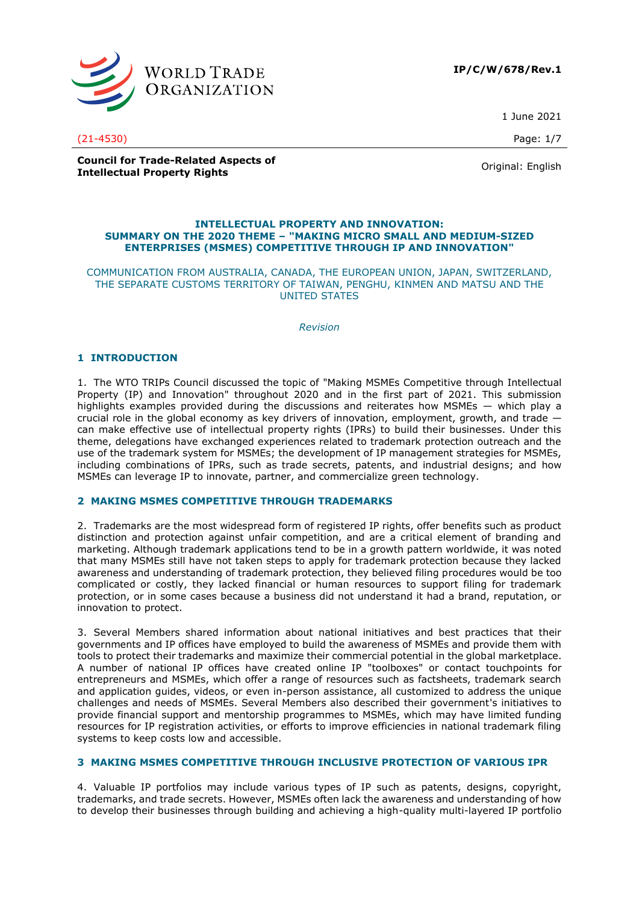

1 June 2021

**Council for Trade-Related Aspects of Intellectual Property Rights** Original: English<br> **Intellectual Property Rights** 

### **INTELLECTUAL PROPERTY AND INNOVATION: SUMMARY ON THE 2020 THEME – "MAKING MICRO SMALL AND MEDIUM-SIZED ENTERPRISES (MSMES) COMPETITIVE THROUGH IP AND INNOVATION"**

COMMUNICATION FROM AUSTRALIA, CANADA, THE EUROPEAN UNION, JAPAN, SWITZERLAND, THE SEPARATE CUSTOMS TERRITORY OF TAIWAN, PENGHU, KINMEN AND MATSU AND THE UNITED STATES

*Revision*

# **1 INTRODUCTION**

1. The WTO TRIPs Council discussed the topic of "Making MSMEs Competitive through Intellectual Property (IP) and Innovation" throughout 2020 and in the first part of 2021. This submission highlights examples provided during the discussions and reiterates how MSMEs — which play a crucial role in the global economy as key drivers of innovation, employment, growth, and trade  $$ can make effective use of intellectual property rights (IPRs) to build their businesses. Under this theme, delegations have exchanged experiences related to trademark protection outreach and the use of the trademark system for MSMEs; the development of IP management strategies for MSMEs, including combinations of IPRs, such as trade secrets, patents, and industrial designs; and how MSMEs can leverage IP to innovate, partner, and commercialize green technology.

# **2 MAKING MSMES COMPETITIVE THROUGH TRADEMARKS**

2. Trademarks are the most widespread form of registered IP rights, offer benefits such as product distinction and protection against unfair competition, and are a critical element of branding and marketing. Although trademark applications tend to be in a growth pattern worldwide, it was noted that many MSMEs still have not taken steps to apply for trademark protection because they lacked awareness and understanding of trademark protection, they believed filing procedures would be too complicated or costly, they lacked financial or human resources to support filing for trademark protection, or in some cases because a business did not understand it had a brand, reputation, or innovation to protect.

3. Several Members shared information about national initiatives and best practices that their governments and IP offices have employed to build the awareness of MSMEs and provide them with tools to protect their trademarks and maximize their commercial potential in the global marketplace. A number of national IP offices have created online IP "toolboxes" or contact touchpoints for entrepreneurs and MSMEs, which offer a range of resources such as factsheets, trademark search and application guides, videos, or even in-person assistance, all customized to address the unique challenges and needs of MSMEs. Several Members also described their government's initiatives to provide financial support and mentorship programmes to MSMEs, which may have limited funding resources for IP registration activities, or efforts to improve efficiencies in national trademark filing systems to keep costs low and accessible.

# **3 MAKING MSMES COMPETITIVE THROUGH INCLUSIVE PROTECTION OF VARIOUS IPR**

4. Valuable IP portfolios may include various types of IP such as patents, designs, copyright, trademarks, and trade secrets. However, MSMEs often lack the awareness and understanding of how to develop their businesses through building and achieving a high-quality multi-layered IP portfolio

(21-4530) Page: 1/7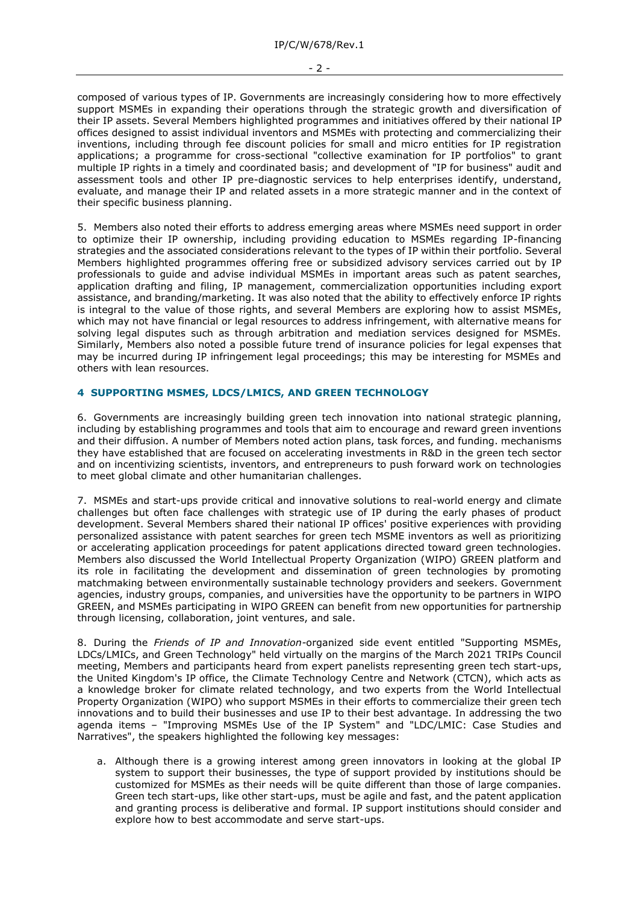- 2 -

composed of various types of IP. Governments are increasingly considering how to more effectively support MSMEs in expanding their operations through the strategic growth and diversification of their IP assets. Several Members highlighted programmes and initiatives offered by their national IP offices designed to assist individual inventors and MSMEs with protecting and commercializing their inventions, including through fee discount policies for small and micro entities for IP registration applications; a programme for cross-sectional "collective examination for IP portfolios" to grant multiple IP rights in a timely and coordinated basis; and development of "IP for business" audit and assessment tools and other IP pre-diagnostic services to help enterprises identify, understand, evaluate, and manage their IP and related assets in a more strategic manner and in the context of their specific business planning.

5. Members also noted their efforts to address emerging areas where MSMEs need support in order to optimize their IP ownership, including providing education to MSMEs regarding IP-financing strategies and the associated considerations relevant to the types of IP within their portfolio. Several Members highlighted programmes offering free or subsidized advisory services carried out by IP professionals to guide and advise individual MSMEs in important areas such as patent searches, application drafting and filing, IP management, commercialization opportunities including export assistance, and branding/marketing. It was also noted that the ability to effectively enforce IP rights is integral to the value of those rights, and several Members are exploring how to assist MSMEs, which may not have financial or legal resources to address infringement, with alternative means for solving legal disputes such as through arbitration and mediation services designed for MSMEs. Similarly, Members also noted a possible future trend of insurance policies for legal expenses that may be incurred during IP infringement legal proceedings; this may be interesting for MSMEs and others with lean resources.

# **4 SUPPORTING MSMES, LDCS/LMICS, AND GREEN TECHNOLOGY**

6. Governments are increasingly building green tech innovation into national strategic planning, including by establishing programmes and tools that aim to encourage and reward green inventions and their diffusion. A number of Members noted action plans, task forces, and funding. mechanisms they have established that are focused on accelerating investments in R&D in the green tech sector and on incentivizing scientists, inventors, and entrepreneurs to push forward work on technologies to meet global climate and other humanitarian challenges.

7. MSMEs and start-ups provide critical and innovative solutions to real-world energy and climate challenges but often face challenges with strategic use of IP during the early phases of product development. Several Members shared their national IP offices' positive experiences with providing personalized assistance with patent searches for green tech MSME inventors as well as prioritizing or accelerating application proceedings for patent applications directed toward green technologies. Members also discussed the World Intellectual Property Organization (WIPO) GREEN platform and its role in facilitating the development and dissemination of green technologies by promoting matchmaking between environmentally sustainable technology providers and seekers. Government agencies, industry groups, companies, and universities have the opportunity to be partners in WIPO GREEN, and MSMEs participating in WIPO GREEN can benefit from new opportunities for partnership through licensing, collaboration, joint ventures, and sale.

8. During the *Friends of IP and Innovation-*organized side event entitled "Supporting MSMEs, LDCs/LMICs, and Green Technology" held virtually on the margins of the March 2021 TRIPs Council meeting, Members and participants heard from expert panelists representing green tech start-ups, the United Kingdom's IP office, the Climate Technology Centre and Network (CTCN), which acts as a knowledge broker for climate related technology, and two experts from the World Intellectual Property Organization (WIPO) who support MSMEs in their efforts to commercialize their green tech innovations and to build their businesses and use IP to their best advantage. In addressing the two agenda items – "Improving MSMEs Use of the IP System" and "LDC/LMIC: Case Studies and Narratives", the speakers highlighted the following key messages:

a. Although there is a growing interest among green innovators in looking at the global IP system to support their businesses, the type of support provided by institutions should be customized for MSMEs as their needs will be quite different than those of large companies. Green tech start-ups, like other start-ups, must be agile and fast, and the patent application and granting process is deliberative and formal. IP support institutions should consider and explore how to best accommodate and serve start-ups.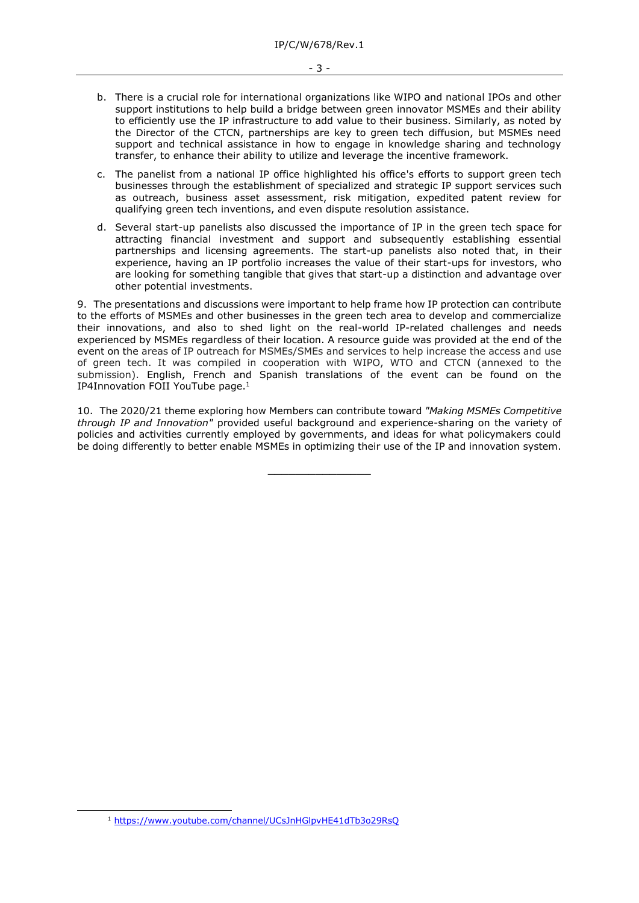- b. There is a crucial role for international organizations like WIPO and national IPOs and other support institutions to help build a bridge between green innovator MSMEs and their ability to efficiently use the IP infrastructure to add value to their business. Similarly, as noted by the Director of the CTCN, partnerships are key to green tech diffusion, but MSMEs need support and technical assistance in how to engage in knowledge sharing and technology transfer, to enhance their ability to utilize and leverage the incentive framework.
- c. The panelist from a national IP office highlighted his office's efforts to support green tech businesses through the establishment of specialized and strategic IP support services such as outreach, business asset assessment, risk mitigation, expedited patent review for qualifying green tech inventions, and even dispute resolution assistance.
- d. Several start-up panelists also discussed the importance of IP in the green tech space for attracting financial investment and support and subsequently establishing essential partnerships and licensing agreements. The start-up panelists also noted that, in their experience, having an IP portfolio increases the value of their start-ups for investors, who are looking for something tangible that gives that start-up a distinction and advantage over other potential investments.

9. The presentations and discussions were important to help frame how IP protection can contribute to the efforts of MSMEs and other businesses in the green tech area to develop and commercialize their innovations, and also to shed light on the real-world IP-related challenges and needs experienced by MSMEs regardless of their location. A resource guide was provided at the end of the event on the areas of IP outreach for MSMEs/SMEs and services to help increase the access and use of green tech. It was compiled in cooperation with WIPO, WTO and CTCN (annexed to the submission). English, French and Spanish translations of the event can be found on the IP4Innovation FOII YouTube page. 1

10. The 2020/21 theme exploring how Members can contribute toward *"Making MSMEs Competitive through IP and Innovation"* provided useful background and experience-sharing on the variety of policies and activities currently employed by governments, and ideas for what policymakers could be doing differently to better enable MSMEs in optimizing their use of the IP and innovation system.

**\_\_\_\_\_\_\_\_\_\_\_\_\_\_\_**

<sup>1</sup> <https://www.youtube.com/channel/UCsJnHGlpvHE41dTb3o29RsQ>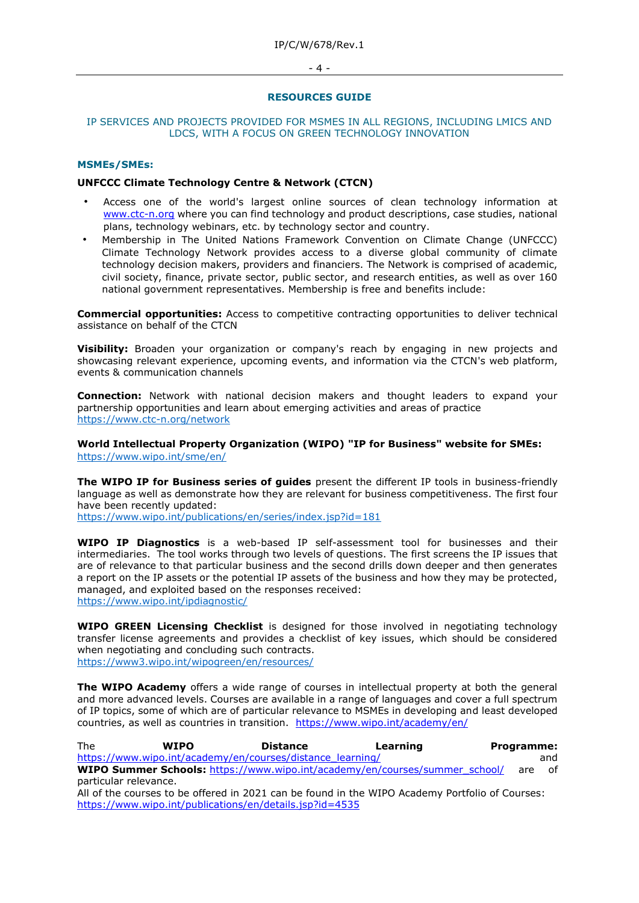### $-4 -$

### **RESOURCES GUIDE**

## IP SERVICES AND PROJECTS PROVIDED FOR MSMES IN ALL REGIONS, INCLUDING LMICS AND LDCS, WITH A FOCUS ON GREEN TECHNOLOGY INNOVATION

## **MSMEs/SMEs:**

## **UNFCCC Climate Technology Centre & Network (CTCN)**

- Access one of the world's largest online sources of clean technology information at [www.ctc-n.org](http://www.ctcn.org/) where you can find technology and product descriptions, case studies, national plans, technology webinars, etc. by technology sector and country.
- Membership in The United Nations Framework Convention on Climate Change (UNFCCC) Climate Technology Network provides access to a diverse global community of climate technology decision makers, providers and financiers. The Network is comprised of academic, civil society, finance, private sector, public sector, and research entities, as well as over 160 national government representatives. Membership is free and benefits include:

**Commercial opportunities:** Access to competitive contracting opportunities to deliver technical assistance on behalf of the CTCN

**Visibility:** Broaden your organization or company's reach by engaging in new projects and showcasing relevant experience, upcoming events, and information via the CTCN's web platform, events & communication channels

**Connection:** Network with national decision makers and thought leaders to expand your partnership opportunities and learn about emerging activities and areas of practice https://www.ctc-n.org/network

**World Intellectual Property Organization (WIPO) "IP for Business" website for SMEs:**  https://www.wipo.int/sme/en/

**The WIPO IP for Business series of guides** present the different IP tools in business-friendly language as well as demonstrate how they are relevant for business competitiveness. The first four have been recently updated:

https://www.wipo.int/publications/en/series/index.jsp?id=181

**WIPO IP Diagnostics** is a web-based IP self-assessment tool for businesses and their intermediaries. The tool works through two levels of questions. The first screens the IP issues that are of relevance to that particular business and the second drills down deeper and then generates a report on the IP assets or the potential IP assets of the business and how they may be protected, managed, and exploited based on the responses received: https://www.wipo.int/ipdiagnostic/

**WIPO GREEN Licensing Checklist** is designed for those involved in negotiating technology transfer license agreements and provides a checklist of key issues, which should be considered when negotiating and concluding such contracts. https://www3.wipo.int/wipogreen/en/resources/

**The WIPO Academy** offers a wide range of courses in intellectual property at both the general and more advanced levels. Courses are available in a range of languages and cover a full spectrum of IP topics, some of which are of particular relevance to MSMEs in developing and least developed countries, as well as countries in transition. <https://www.wipo.int/academy/en/>

| <b>The</b>            | <b>WIPO</b> | <b>Distance</b>                                                                                 | Learning | Programme: |     |
|-----------------------|-------------|-------------------------------------------------------------------------------------------------|----------|------------|-----|
|                       |             | https://www.wipo.int/academy/en/courses/distance learning/                                      |          |            | and |
|                       |             | <b>WIPO Summer Schools:</b> https://www.wipo.int/academy/en/courses/summer school/              |          | are        | of  |
| particular relevance. |             |                                                                                                 |          |            |     |
|                       |             | All of the courses to be offered in 2021 can be found in the WIPO Academy Portfolio of Courses: |          |            |     |
|                       |             | https://www.wipo.int/publications/en/details.jsp?id=4535                                        |          |            |     |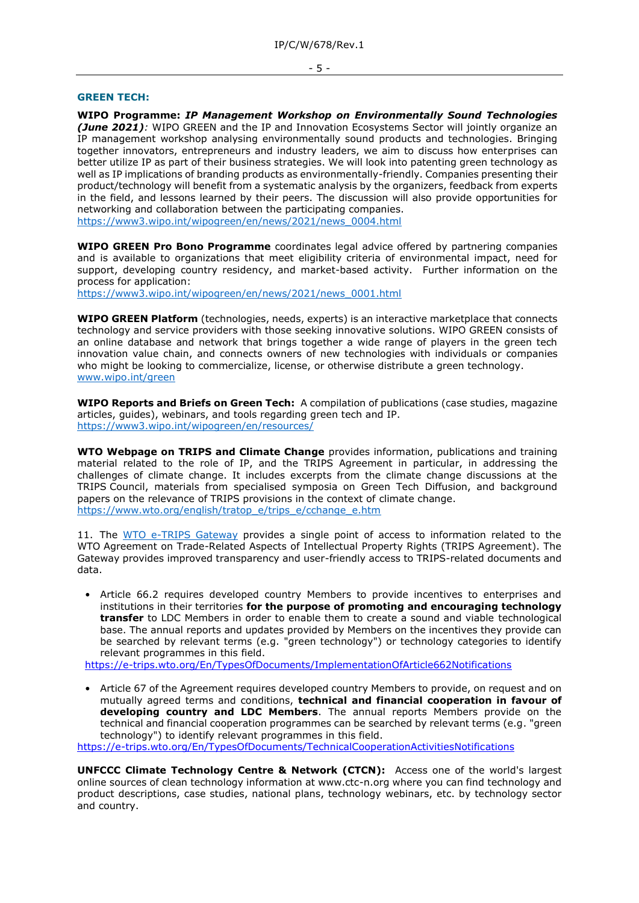### **GREEN TECH:**

**WIPO Programme:** *IP Management Workshop on Environmentally Sound Technologies (June 2021):* WIPO GREEN and the IP and Innovation Ecosystems Sector will jointly organize an IP management workshop analysing environmentally sound products and technologies. Bringing together innovators, entrepreneurs and industry leaders, we aim to discuss how enterprises can better utilize IP as part of their business strategies. We will look into patenting green technology as well as IP implications of branding products as environmentally-friendly. Companies presenting their product/technology will benefit from a systematic analysis by the organizers, feedback from experts in the field, and lessons learned by their peers. The discussion will also provide opportunities for networking and collaboration between the participating companies. https://www3.wipo.int/wipogreen/en/news/2021/news\_0004.html

**WIPO GREEN Pro Bono Programme** coordinates legal advice offered by partnering companies and is available to organizations that meet eligibility criteria of environmental impact, need for support, developing country residency, and market-based activity. Further information on the process for application:

https://www3.wipo.int/wipogreen/en/news/2021/news\_0001.html

**WIPO GREEN Platform** (technologies, needs, experts) is an interactive marketplace that connects technology and service providers with those seeking innovative solutions. WIPO GREEN consists of an online database and network that brings together a wide range of players in the green tech innovation value chain, and connects owners of new technologies with individuals or companies who might be looking to commercialize, license, or otherwise distribute a green technology. www.wipo.int/green

**WIPO Reports and Briefs on Green Tech:** A compilation of publications (case studies, magazine articles, guides), webinars, and tools regarding green tech and IP. https://www3.wipo.int/wipogreen/en/resources/

**WTO Webpage on TRIPS and Climate Change** provides information, publications and training material related to the role of IP, and the TRIPS Agreement in particular, in addressing the challenges of climate change. It includes excerpts from the climate change discussions at the TRIPS Council, materials from specialised symposia on Green Tech Diffusion, and background papers on the relevance of TRIPS provisions in the context of climate change. https://www.wto.org/english/tratop\_e/trips\_e/cchange\_e.htm

11. The WTO e-TRIPS Gateway provides a single point of access to information related to the WTO Agreement on Trade-Related Aspects of Intellectual Property Rights (TRIPS Agreement). The Gateway provides improved transparency and user-friendly access to TRIPS-related documents and data.

• Article 66.2 requires developed country Members to provide incentives to enterprises and institutions in their territories **for the purpose of promoting and encouraging technology transfer** to LDC Members in order to enable them to create a sound and viable technological base. The annual reports and updates provided by Members on the incentives they provide can be searched by relevant terms (e.g. "green technology") or technology categories to identify relevant programmes in this field.

<https://e-trips.wto.org/En/TypesOfDocuments/ImplementationOfArticle662Notifications>

• Article 67 of the Agreement requires developed country Members to provide, on request and on mutually agreed terms and conditions, **technical and financial cooperation in favour of developing country and LDC Members**. The annual reports Members provide on the technical and financial cooperation programmes can be searched by relevant terms (e.g. "green technology") to identify relevant programmes in this field.

<https://e-trips.wto.org/En/TypesOfDocuments/TechnicalCooperationActivitiesNotifications>

**UNFCCC Climate Technology Centre & Network (CTCN):** Access one of the world's largest online sources of clean technology information at www.ctc-n.org where you can find technology and product descriptions, case studies, national plans, technology webinars, etc. by technology sector and country.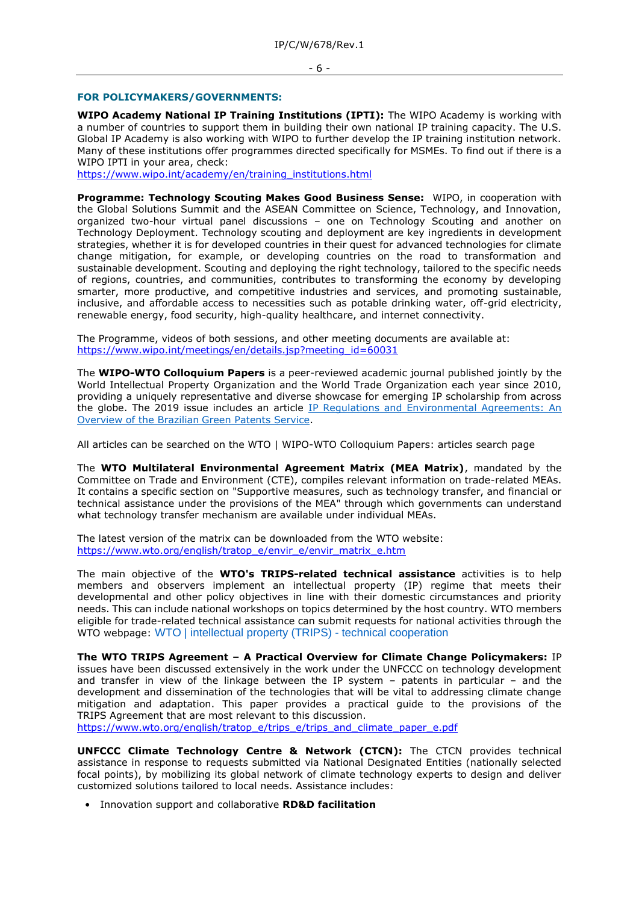### - 6 -

### **FOR POLICYMAKERS/GOVERNMENTS:**

**WIPO Academy National IP Training Institutions (IPTI):** The WIPO Academy is working with a number of countries to support them in building their own national IP training capacity. The U.S. Global IP Academy is also working with WIPO to further develop the IP training institution network. Many of these institutions offer programmes directed specifically for MSMEs. To find out if there is a WIPO IPTI in your area, check:

[https://www.wipo.int/academy/en/training\\_institutions.html](https://www.wipo.int/academy/en/training_institutions.html)

**Programme: Technology Scouting Makes Good Business Sense:** WIPO, in cooperation with the Global Solutions Summit and the ASEAN Committee on Science, Technology, and Innovation, organized two-hour virtual panel discussions – one on Technology Scouting and another on Technology Deployment. Technology scouting and deployment are key ingredients in development strategies, whether it is for developed countries in their quest for advanced technologies for climate change mitigation, for example, or developing countries on the road to transformation and sustainable development. Scouting and deploying the right technology, tailored to the specific needs of regions, countries, and communities, contributes to transforming the economy by developing smarter, more productive, and competitive industries and services, and promoting sustainable, inclusive, and affordable access to necessities such as potable drinking water, off-grid electricity, renewable energy, food security, high-quality healthcare, and internet connectivity.

The Programme, videos of both sessions, and other meeting documents are available at: [https://www.wipo.int/meetings/en/details.jsp?meeting\\_id=60031](https://www.wipo.int/meetings/en/details.jsp?meeting_id=60031)

The **WIPO-WTO Colloquium Papers** is a peer-reviewed academic journal published jointly by the World Intellectual Property Organization and the World Trade Organization each year since 2010, providing a uniquely representative and diverse showcase for emerging IP scholarship from across the globe. The 2019 issue includes an article IP Regulations and Environmental Agreements: An Overview of the Brazilian Green Patents Service.

All articles can be searched on the WTO | WIPO-WTO Colloquium Papers: articles search page

The **WTO Multilateral Environmental Agreement Matrix (MEA Matrix)**, mandated by the Committee on Trade and Environment (CTE), compiles relevant information on trade-related MEAs. It contains a specific section on "Supportive measures, such as technology transfer, and financial or technical assistance under the provisions of the MEA" through which governments can understand what technology transfer mechanism are available under individual MEAs.

The latest version of the matrix can be downloaded from the WTO website: [https://www.wto.org/english/tratop\\_e/envir\\_e/envir\\_matrix\\_e.htm](https://www.wto.org/english/tratop_e/envir_e/envir_matrix_e.htm)

The main objective of the **WTO's TRIPS-related technical assistance** activities is to help members and observers implement an intellectual property (IP) regime that meets their developmental and other policy objectives in line with their domestic circumstances and priority needs. This can include national workshops on topics determined by the host country. WTO members eligible for trade-related technical assistance can submit requests for national activities through the WTO webpage: WTO | intellectual property (TRIPS) - technical cooperation

**The WTO TRIPS Agreement – A Practical Overview for Climate Change Policymakers:** IP issues have been discussed extensively in the work under the UNFCCC on technology development and transfer in view of the linkage between the IP system – patents in particular – and the development and dissemination of the technologies that will be vital to addressing climate change mitigation and adaptation. This paper provides a practical guide to the provisions of the TRIPS Agreement that are most relevant to this discussion.

[https://www.wto.org/english/tratop\\_e/trips\\_e/trips\\_and\\_climate\\_paper\\_e.pdf](https://www.wto.org/english/tratop_e/trips_e/trips_and_climate_paper_e.pdf)

**UNFCCC Climate Technology Centre & Network (CTCN):** The CTCN provides technical assistance in response to requests submitted via National Designated Entities (nationally selected focal points), by mobilizing its global network of climate technology experts to design and deliver customized solutions tailored to local needs. Assistance includes:

• Innovation support and collaborative **RD&D facilitation**